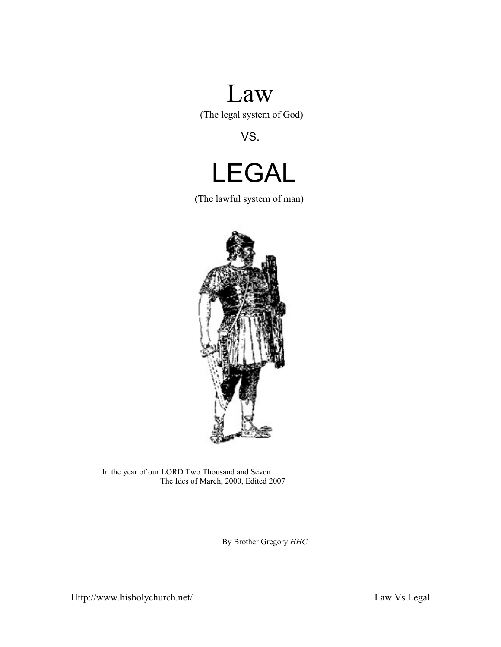# Law

(The legal system of God)

VS.



(The lawful system of man)



In the year of our LORD Two Thousand and Seven The Ides of March, 2000, Edited 2007

By Brother Gregory *HHC*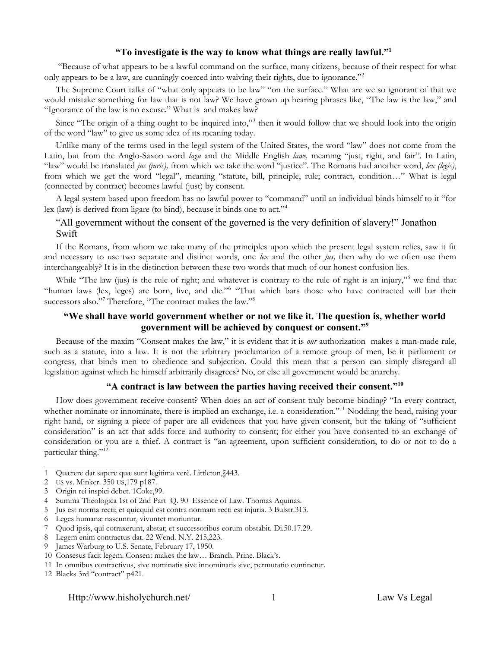#### **"To investigate is the way to know what things are really lawful."[1](#page-1-0)**

 "Because of what appears to be a lawful command on the surface, many citizens, because of their respect for what only appears to be a law, are cunningly coerced into waiving their rights, due to ignorance."<sup>[2](#page-1-1)</sup>

The Supreme Court talks of "what only appears to be law" "on the surface." What are we so ignorant of that we would mistake something for law that is not law? We have grown up hearing phrases like, "The law is the law," and "Ignorance of the law is no excuse." What is and makes law?

Since "The origin of a thing ought to be inquired into,"<sup>[3](#page-1-2)</sup> then it would follow that we should look into the origin of the word "law" to give us some idea of its meaning today.

Unlike many of the terms used in the legal system of the United States, the word "law" does not come from the Latin, but from the Anglo-Saxon word *lagu* and the Middle English *lawe,* meaning "just, right, and fair". In Latin, "law" would be translated *jus (juris),* from which we take the word "justice". The Romans had another word, *lex (legis)*, from which we get the word "legal", meaning "statute, bill, principle, rule; contract, condition…" What is legal (connected by contract) becomes lawful (just) by consent.

A legal system based upon freedom has no lawful power to "command" until an individual binds himself to it "for lex (law) is derived from ligare (to bind), because it binds one to act."[4](#page-1-3)

#### "All government without the consent of the governed is the very definition of slavery!" Jonathon Swift

If the Romans, from whom we take many of the principles upon which the present legal system relies, saw it fit and necessary to use two separate and distinct words, one *lex* and the other *jus,* then why do we often use them interchangeably? It is in the distinction between these two words that much of our honest confusion lies.

While "The law (jus) is the rule of right; and whatever is contrary to the rule of right is an injury,"<sup>[5](#page-1-4)</sup> we find that "human laws (lex, leges) are born, live, and die."<sup>[6](#page-1-5)</sup> "That which bars those who have contracted will bar their successors also."<sup>[7](#page-1-6)</sup> Therefore, "The contract makes the law."<sup>[8](#page-1-7)</sup>

#### **"We shall have world government whether or not we like it. The question is, whether world government will be achieved by conquest or consent."[9](#page-1-8)**

Because of the maxim "Consent makes the law," it is evident that it is *our* authorization makes a man-made rule, such as a statute, into a law. It is not the arbitrary proclamation of a remote group of men, be it parliament or congress, that binds men to obedience and subjection. Could this mean that a person can simply disregard all legislation against which he himself arbitrarily disagrees? No, or else all government would be anarchy.

#### **"A contract is law between the parties having received their consent."[10](#page-1-9)**

How does government receive consent? When does an act of consent truly become binding? "In every contract, whether nominate or innominate, there is implied an exchange, i.e. a consideration."<sup>[11](#page-1-10)</sup> Nodding the head, raising your right hand, or signing a piece of paper are all evidences that you have given consent, but the taking of "sufficient consideration" is an act that adds force and authority to consent; for either you have consented to an exchange of consideration or you are a thief. A contract is "an agreement, upon sufficient consideration, to do or not to do a particular thing."<sup>[12](#page-1-11)</sup>

<span id="page-1-0"></span><sup>1</sup> Quærere dat sapere quæ sunt legitima verè. Littleton,§443.

<span id="page-1-1"></span><sup>2</sup> US vs. Minker. 350 US,179 p187.

<span id="page-1-2"></span><sup>3</sup> Origin rei inspici debet. 1Coke,99.

<span id="page-1-3"></span><sup>4</sup> Summa Theologica 1st of 2nd Part Q. 90 Essence of Law. Thomas Aquinas.

<span id="page-1-4"></span><sup>5</sup> Jus est norma recti; et quicquid est contra normam recti est injuria. 3 Bulstr.313.

<span id="page-1-5"></span><sup>6</sup> Leges humanæ nascuntur, vivuntet moriuntur.

<span id="page-1-6"></span><sup>7</sup> Quod ipsis, qui cotraxerunt, abstat; et successoribus eorum obstabit. Di.50.17.29.

<span id="page-1-7"></span><sup>8</sup> Legem enim contractus dat. 22 Wend. N.Y. 215,223.

<span id="page-1-8"></span><sup>9</sup> James Warburg to U.S. Senate, February 17, 1950.

<span id="page-1-9"></span><sup>10</sup> Consesus facit legem. Consent makes the law… Branch. Prine. Black's.

<span id="page-1-10"></span><sup>11</sup> In omnibus contractivus, sive nominatis sive innominatis sive, permutatio continetur.

<span id="page-1-11"></span><sup>12</sup> Blacks 3rd "contract" p421.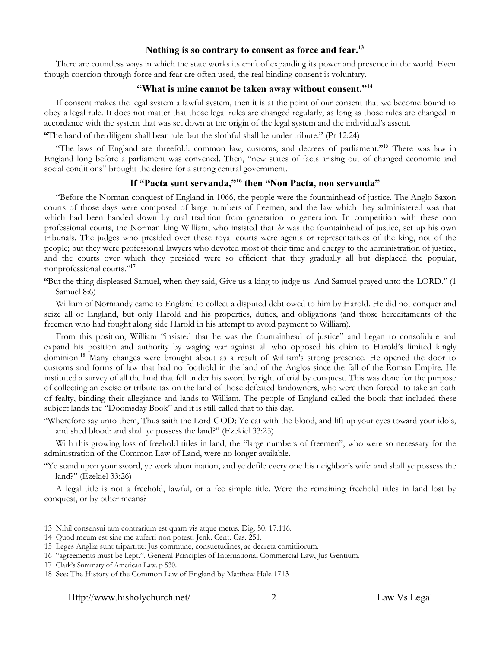#### **Nothing is so contrary to consent as force and fear.[13](#page-2-0)**

There are countless ways in which the state works its craft of expanding its power and presence in the world. Even though coercion through force and fear are often used, the real binding consent is voluntary.

#### **"What is mine cannot be taken away without consent."[14](#page-2-1)**

If consent makes the legal system a lawful system, then it is at the point of our consent that we become bound to obey a legal rule. It does not matter that those legal rules are changed regularly, as long as those rules are changed in accordance with the system that was set down at the origin of the legal system and the individual's assent.

**"**The hand of the diligent shall bear rule: but the slothful shall be under tribute." (Pr 12:24)

"The laws of England are threefold: common law, customs, and decrees of parliament."[15](#page-2-2) There was law in England long before a parliament was convened. Then, "new states of facts arising out of changed economic and social conditions" brought the desire for a strong central government.

#### **If "Pacta sunt servanda,"[16](#page-2-3) then "Non Pacta, non servanda"**

"Before the Norman conquest of England in 1066, the people were the fountainhead of justice. The Anglo-Saxon courts of those days were composed of large numbers of freemen, and the law which they administered was that which had been handed down by oral tradition from generation to generation. In competition with these non professional courts, the Norman king William, who insisted that *he* was the fountainhead of justice, set up his own tribunals. The judges who presided over these royal courts were agents or representatives of the king, not of the people; but they were professional lawyers who devoted most of their time and energy to the administration of justice, and the courts over which they presided were so efficient that they gradually all but displaced the popular, nonprofessional courts."[17](#page-2-4)

**"**But the thing displeased Samuel, when they said, Give us a king to judge us. And Samuel prayed unto the LORD." (1 Samuel 8:6)

William of Normandy came to England to collect a disputed debt owed to him by Harold. He did not conquer and seize all of England, but only Harold and his properties, duties, and obligations (and those hereditaments of the freemen who had fought along side Harold in his attempt to avoid payment to William).

From this position, William "insisted that he was the fountainhead of justice" and began to consolidate and expand his position and authority by waging war against all who opposed his claim to Harold's limited kingly dominion.<sup>[18](#page-2-5)</sup> Many changes were brought about as a result of William's strong presence. He opened the door to customs and forms of law that had no foothold in the land of the Anglos since the fall of the Roman Empire. He instituted a survey of all the land that fell under his sword by right of trial by conquest. This was done for the purpose of collecting an excise or tribute tax on the land of those defeated landowners, who were then forced to take an oath of fealty, binding their allegiance and lands to William. The people of England called the book that included these subject lands the "Doomsday Book" and it is still called that to this day.

"Wherefore say unto them, Thus saith the Lord GOD; Ye eat with the blood, and lift up your eyes toward your idols, and shed blood: and shall ye possess the land?" (Ezekiel 33:25)

With this growing loss of freehold titles in land, the "large numbers of freemen", who were so necessary for the administration of the Common Law of Land, were no longer available.

"Ye stand upon your sword, ye work abomination, and ye defile every one his neighbor's wife: and shall ye possess the land?" (Ezekiel 33:26)

A legal title is not a freehold, lawful, or a fee simple title. Were the remaining freehold titles in land lost by conquest, or by other means?

<span id="page-2-0"></span><sup>13</sup> Nihil consensui tam contrarium est quam vis atque metus. Dig. 50. 17.116.

<span id="page-2-1"></span><sup>14</sup> Quod meum est sine me auferri non potest. Jenk. Cent. Cas. 251.

<span id="page-2-2"></span><sup>15</sup> Leges Angliæ sunt tripartitæ: Jus commune, consuetudines, ac decreta comitiiorum.

<span id="page-2-3"></span><sup>16</sup> "agreements must be kept.". General Principles of International Commercial Law, Jus Gentium.

<span id="page-2-4"></span><sup>17</sup> Clark's Summary of American Law. p 530.

<span id="page-2-5"></span><sup>18</sup> See: The History of the Common Law of England by Matthew Hale 1713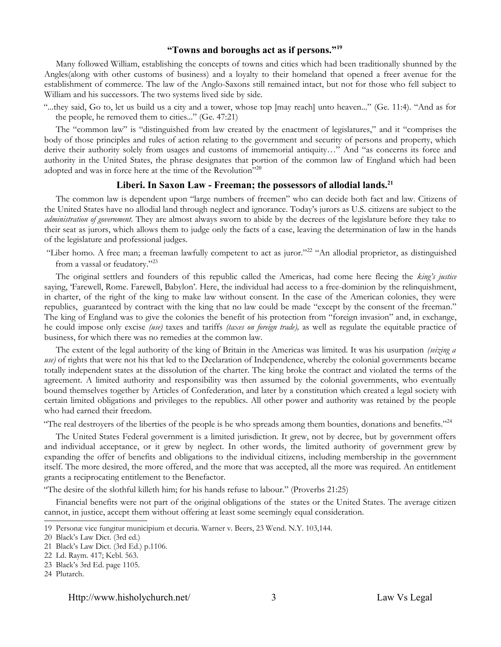#### **"Towns and boroughs act as if persons."[19](#page-3-0)**

Many followed William, establishing the concepts of towns and cities which had been traditionally shunned by the Angles(along with other customs of business) and a loyalty to their homeland that opened a freer avenue for the establishment of commerce. The law of the Anglo-Saxons still remained intact, but not for those who fell subject to William and his successors. The two systems lived side by side.

"...they said, Go to, let us build us a city and a tower, whose top [may reach] unto heaven..." (Ge. 11:4). "And as for the people, he removed them to cities..." (Ge. 47:21)

The "common law" is "distinguished from law created by the enactment of legislatures," and it "comprises the body of those principles and rules of action relating to the government and security of persons and property, which derive their authority solely from usages and customs of immemorial antiquity…" And "as concerns its force and authority in the United States, the phrase designates that portion of the common law of England which had been adopted and was in force here at the time of the Revolution"[20](#page-3-1)

#### **Liberi. In Saxon Law - Freeman; the possessors of allodial lands.[21](#page-3-2)**

The common law is dependent upon "large numbers of freemen" who can decide both fact and law. Citizens of the United States have no allodial land through neglect and ignorance. Today's jurors as U.S. citizens are subject to the *administration of government*. They are almost always sworn to abide by the decrees of the legislature before they take to their seat as jurors, which allows them to judge only the facts of a case, leaving the determination of law in the hands of the legislature and professional judges.

"Liber homo. A free man; a freeman lawfully competent to act as juror."<sup>[22](#page-3-3)</sup> "An allodial proprietor, as distinguished from a vassal or feudatory."[23](#page-3-4)

The original settlers and founders of this republic called the Americas, had come here fleeing the *king's justice* saying, 'Farewell, Rome. Farewell, Babylon'. Here, the individual had access to a free-dominion by the relinquishment, in charter, of the right of the king to make law without consent. In the case of the American colonies, they were republics, guaranteed by contract with the king that no law could be made "except by the consent of the freeman." The king of England was to give the colonies the benefit of his protection from "foreign invasion" and, in exchange, he could impose only excise *(use)* taxes and tariffs *(taxes on foreign trade),* as well as regulate the equitable practice of business, for which there was no remedies at the common law.

The extent of the legal authority of the king of Britain in the Americas was limited. It was his usurpation *(seizing a use)* of rights that were not his that led to the Declaration of Independence, whereby the colonial governments became totally independent states at the dissolution of the charter. The king broke the contract and violated the terms of the agreement. A limited authority and responsibility was then assumed by the colonial governments, who eventually bound themselves together by Articles of Confederation, and later by a constitution which created a legal society with certain limited obligations and privileges to the republics. All other power and authority was retained by the people who had earned their freedom.

"The real destroyers of the liberties of the people is he who spreads among them bounties, donations and benefits."<sup>[24](#page-3-5)</sup>

The United States Federal government is a limited jurisdiction. It grew, not by decree, but by government offers and individual acceptance, or it grew by neglect. In other words, the limited authority of government grew by expanding the offer of benefits and obligations to the individual citizens, including membership in the government itself. The more desired, the more offered, and the more that was accepted, all the more was required. An entitlement grants a reciprocating entitlement to the Benefactor.

"The desire of the slothful killeth him; for his hands refuse to labour." (Proverbs 21:25)

Financial benefits were not part of the original obligations of the states or the United States. The average citizen cannot, in justice, accept them without offering at least some seemingly equal consideration.

<span id="page-3-0"></span><sup>19</sup> Personæ vice fungitur municipium et decuria. Warner v. Beers, 23 Wend. N.Y. 103,144.

<span id="page-3-1"></span><sup>20</sup> Black's Law Dict. (3rd ed.)

<span id="page-3-2"></span><sup>21</sup> Black's Law Dict. (3rd Ed.) p.1106.

<span id="page-3-3"></span><sup>22</sup> Ld. Raym. 417; Kebl. 563.

<span id="page-3-4"></span><sup>23</sup> Black's 3rd Ed. page 1105.

<span id="page-3-5"></span><sup>24</sup> Plutarch.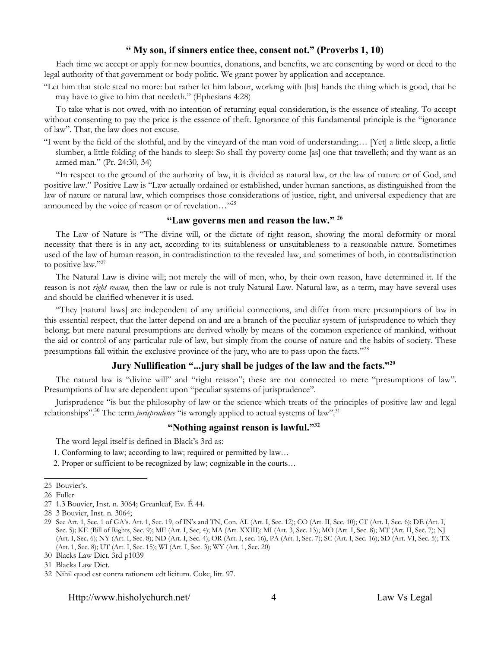#### **" My son, if sinners entice thee, consent not." (Proverbs 1, 10)**

Each time we accept or apply for new bounties, donations, and benefits, we are consenting by word or deed to the legal authority of that government or body politic. We grant power by application and acceptance.

"Let him that stole steal no more: but rather let him labour, working with [his] hands the thing which is good, that he may have to give to him that needeth." (Ephesians 4:28)

To take what is not owed, with no intention of returning equal consideration, is the essence of stealing. To accept without consenting to pay the price is the essence of theft. Ignorance of this fundamental principle is the "ignorance" of law". That, the law does not excuse.

"I went by the field of the slothful, and by the vineyard of the man void of understanding;… [Yet] a little sleep, a little slumber, a little folding of the hands to sleep: So shall thy poverty come [as] one that travelleth; and thy want as an armed man." (Pr. 24:30, 34)

"In respect to the ground of the authority of law, it is divided as natural law, or the law of nature or of God, and positive law." Positive Law is "Law actually ordained or established, under human sanctions, as distinguished from the law of nature or natural law, which comprises those considerations of justice, right, and universal expediency that are announced by the voice of reason or of revelation…"[25](#page-4-0)

#### **"Law governs men and reason the law." [26](#page-4-1)**

The Law of Nature is "The divine will, or the dictate of right reason, showing the moral deformity or moral necessity that there is in any act, according to its suitableness or unsuitableness to a reasonable nature. Sometimes used of the law of human reason, in contradistinction to the revealed law, and sometimes of both, in contradistinction to positive law."[27](#page-4-2)

The Natural Law is divine will; not merely the will of men, who, by their own reason, have determined it. If the reason is not *right reason,* then the law or rule is not truly Natural Law. Natural law, as a term, may have several uses and should be clarified whenever it is used.

"They [natural laws] are independent of any artificial connections, and differ from mere presumptions of law in this essential respect, that the latter depend on and are a branch of the peculiar system of jurisprudence to which they belong; but mere natural presumptions are derived wholly by means of the common experience of mankind, without the aid or control of any particular rule of law, but simply from the course of nature and the habits of society. These presumptions fall within the exclusive province of the jury, who are to pass upon the facts."[28](#page-4-3)

#### **Jury Nullification "...jury shall be judges of the law and the facts."[29](#page-4-4)**

The natural law is "divine will" and "right reason"; these are not connected to mere "presumptions of law". Presumptions of law are dependent upon "peculiar systems of jurisprudence".

Jurisprudence "is but the philosophy of law or the science which treats of the principles of positive law and legal relationships".<sup>[30](#page-4-5)</sup> The term *jurisprudence* "is wrongly applied to actual systems of law".<sup>[31](#page-4-6)</sup>

#### **"Nothing against reason is lawful."[32](#page-4-7)**

The word legal itself is defined in Black's 3rd as:

- 1. Conforming to law; according to law; required or permitted by law…
- 2. Proper or sufficient to be recognized by law; cognizable in the courts…

Http://www.hisholychurch.net/ 4 Law Vs Legal

<span id="page-4-0"></span><sup>25</sup> Bouvier's.

<span id="page-4-1"></span><sup>26</sup> Fuller

<span id="page-4-2"></span><sup>27</sup> 1.3 Bouvier, Inst. n. 3064; Greanleaf, Ev. É 44.

<span id="page-4-3"></span><sup>28</sup> 3 Bouvier, Inst. n. 3064;

<span id="page-4-4"></span><sup>29</sup> See Art. 1, Sec. 1 of GA's. Art. 1, Sec. 19, of IN's and TN, Con. AL (Art. I, Sec. 12); CO (Art. II, Sec. 10); CT (Art. I, Sec. 6); DE (Art. I, Sec. 5); KE (Bill of Rights, Sec. 9); ME (Art. I, Sec, 4); MA (Art. XXIII); MI (Art. 3, Sec. 13); MO (Art. I, Sec. 8); MT (Art. II, Sec. 7); NJ (Art. I, Sec. 6); NY (Art. I, Sec. 8); ND (Art. I, Sec. 4); OR (Art. I, sec. 16), PA (Art. I, Sec. 7); SC (Art. I, Sec. 16); SD (Art. VI, Sec. 5); TX (Art. 1, Sec. 8); UT (Art. I, Sec. 15); WI (Art. I, Sec. 3); WY (Art. 1, Sec. 20)

<span id="page-4-5"></span><sup>30</sup> Blacks Law Dict. 3rd p1039

<span id="page-4-6"></span><sup>31</sup> Blacks Law Dict.

<span id="page-4-7"></span><sup>32</sup> Nihil quod est contra rationem edt licitum. Coke, litt. 97.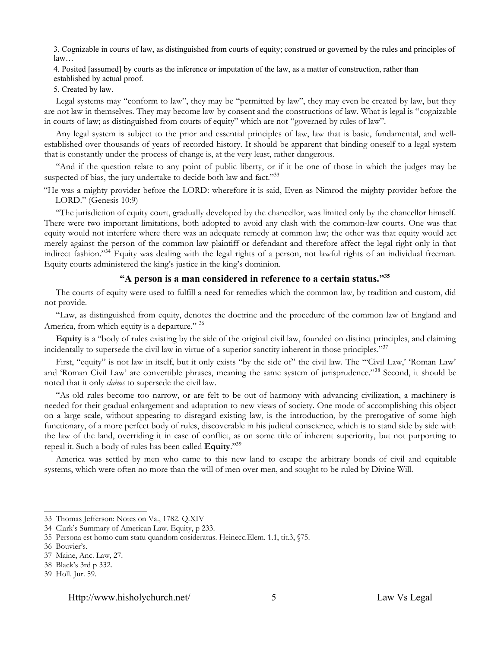3. Cognizable in courts of law, as distinguished from courts of equity; construed or governed by the rules and principles of law…

4. Posited [assumed] by courts as the inference or imputation of the law, as a matter of construction, rather than

established by actual proof.

5. Created by law.

Legal systems may "conform to law", they may be "permitted by law", they may even be created by law, but they are not law in themselves. They may become law by consent and the constructions of law. What is legal is "cognizable in courts of law; as distinguished from courts of equity" which are not "governed by rules of law".

Any legal system is subject to the prior and essential principles of law, law that is basic, fundamental, and wellestablished over thousands of years of recorded history. It should be apparent that binding oneself to a legal system that is constantly under the process of change is, at the very least, rather dangerous.

"And if the question relate to any point of public liberty, or if it be one of those in which the judges may be suspected of bias, the jury undertake to decide both law and fact."[33](#page-5-0)

"He was a mighty provider before the LORD: wherefore it is said, Even as Nimrod the mighty provider before the LORD." (Genesis 10:9)

"The jurisdiction of equity court, gradually developed by the chancellor, was limited only by the chancellor himself. There were two important limitations, both adopted to avoid any clash with the common-law courts. One was that equity would not interfere where there was an adequate remedy at common law; the other was that equity would act merely against the person of the common law plaintiff or defendant and therefore affect the legal right only in that indirect fashion."<sup>[34](#page-5-1)</sup> Equity was dealing with the legal rights of a person, not lawful rights of an individual freeman. Equity courts administered the king's justice in the king's dominion.

#### **"A person is a man considered in reference to a certain status."[35](#page-5-2)**

The courts of equity were used to fulfill a need for remedies which the common law, by tradition and custom, did not provide.

"Law, as distinguished from equity, denotes the doctrine and the procedure of the common law of England and America, from which equity is a departure." [36](#page-5-3)

**Equity** is a "body of rules existing by the side of the original civil law, founded on distinct principles, and claiming incidentally to supersede the civil law in virtue of a superior sanctity inherent in those principles."<sup>[37](#page-5-4)</sup>

First, "equity" is not law in itself, but it only exists "by the side of" the civil law. The "'Civil Law,' 'Roman Law' and 'Roman Civil Law' are convertible phrases, meaning the same system of jurisprudence."[38](#page-5-5) Second, it should be noted that it only *claims* to supersede the civil law.

"As old rules become too narrow, or are felt to be out of harmony with advancing civilization, a machinery is needed for their gradual enlargement and adaptation to new views of society. One mode of accomplishing this object on a large scale, without appearing to disregard existing law, is the introduction, by the prerogative of some high functionary, of a more perfect body of rules, discoverable in his judicial conscience, which is to stand side by side with the law of the land, overriding it in case of conflict, as on some title of inherent superiority, but not purporting to repeal it. Such a body of rules has been called **Equity**."[39](#page-5-6)

America was settled by men who came to this new land to escape the arbitrary bonds of civil and equitable systems, which were often no more than the will of men over men, and sought to be ruled by Divine Will.

<span id="page-5-0"></span><sup>33</sup> Thomas Jefferson: Notes on Va., 1782. Q.XIV

<span id="page-5-1"></span><sup>34</sup> Clark's Summary of American Law. Equity, p 233.

<span id="page-5-2"></span><sup>35</sup> Persona est homo cum statu quandom cosideratus. Heinecc.Elem. 1.1, tit.3, §75.

<span id="page-5-3"></span><sup>36</sup> Bouvier's.

<span id="page-5-4"></span><sup>37</sup> Maine, Anc. Law, 27.

<span id="page-5-5"></span><sup>38</sup> Black's 3rd p 332.

<span id="page-5-6"></span><sup>39</sup> Holl. Jur. 59.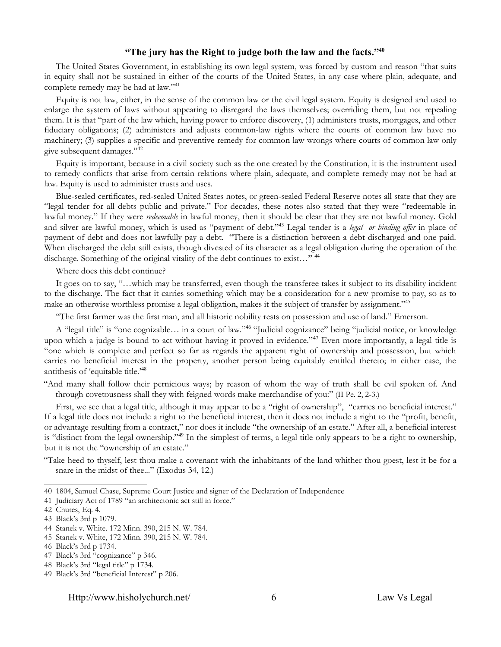#### **"The jury has the Right to judge both the law and the facts."[40](#page-6-0)**

The United States Government, in establishing its own legal system, was forced by custom and reason "that suits in equity shall not be sustained in either of the courts of the United States, in any case where plain, adequate, and complete remedy may be had at law."<sup>[41](#page-6-1)</sup>

Equity is not law, either, in the sense of the common law or the civil legal system. Equity is designed and used to enlarge the system of laws without appearing to disregard the laws themselves; overriding them, but not repealing them. It is that "part of the law which, having power to enforce discovery, (1) administers trusts, mortgages, and other fiduciary obligations; (2) administers and adjusts common-law rights where the courts of common law have no machinery; (3) supplies a specific and preventive remedy for common law wrongs where courts of common law only give subsequent damages."[42](#page-6-2)

Equity is important, because in a civil society such as the one created by the Constitution, it is the instrument used to remedy conflicts that arise from certain relations where plain, adequate, and complete remedy may not be had at law. Equity is used to administer trusts and uses.

Blue-sealed certificates, red-sealed United States notes, or green-sealed Federal Reserve notes all state that they are "legal tender for all debts public and private." For decades, these notes also stated that they were "redeemable in lawful money." If they were *redeemable* in lawful money, then it should be clear that they are not lawful money. Gold and silver are lawful money, which is used as "payment of debt."[43](#page-6-3) Legal tender is a *legal or binding offer* in place of payment of debt and does not lawfully pay a debt. "There is a distinction between a debt discharged and one paid. When discharged the debt still exists, though divested of its character as a legal obligation during the operation of the discharge. Something of the original vitality of the debt continues to exist…" [44](#page-6-4)

Where does this debt continue?

It goes on to say, "…which may be transferred, even though the transferee takes it subject to its disability incident to the discharge. The fact that it carries something which may be a consideration for a new promise to pay, so as to make an otherwise worthless promise a legal obligation, makes it the subject of transfer by assignment."<sup>[45](#page-6-5)</sup>

"The first farmer was the first man, and all historic nobility rests on possession and use of land." Emerson.

A "legal title" is "one cognizable… in a court of law."[46](#page-6-6) "Judicial cognizance" being "judicial notice, or knowledge upon which a judge is bound to act without having it proved in evidence."[47](#page-6-7) Even more importantly, a legal title is "one which is complete and perfect so far as regards the apparent right of ownership and possession, but which carries no beneficial interest in the property, another person being equitably entitled thereto; in either case, the antithesis of 'equitable title.'[48](#page-6-8)

"And many shall follow their pernicious ways; by reason of whom the way of truth shall be evil spoken of. And through covetousness shall they with feigned words make merchandise of you:" (II Pe. 2, 2-3.)

First, we see that a legal title, although it may appear to be a "right of ownership", "carries no beneficial interest." If a legal title does not include a right to the beneficial interest, then it does not include a right to the "profit, benefit, or advantage resulting from a contract," nor does it include "the ownership of an estate." After all, a beneficial interest is "distinct from the legal ownership."<sup>[49](#page-6-9)</sup> In the simplest of terms, a legal title only appears to be a right to ownership, but it is not the "ownership of an estate."

"Take heed to thyself, lest thou make a covenant with the inhabitants of the land whither thou goest, lest it be for a snare in the midst of thee..." (Exodus 34, 12.)

#### Http://www.hisholychurch.net/ 6 Law Vs Legal

<span id="page-6-0"></span><sup>40</sup> 1804, Samuel Chase, Supreme Court Justice and signer of the Declaration of Independence

<span id="page-6-1"></span><sup>41</sup> Judiciary Act of 1789 "an architectonic act still in force."

<span id="page-6-2"></span><sup>42</sup> Chutes, Eq. 4.

<span id="page-6-3"></span><sup>43</sup> Black's 3rd p 1079.

<span id="page-6-4"></span><sup>44</sup> Stanek v. White. 172 Minn. 390, 215 N. W. 784.

<span id="page-6-5"></span><sup>45</sup> Stanek v. White, 172 Minn. 390, 215 N. W. 784.

<span id="page-6-6"></span><sup>46</sup> Black's 3rd p 1734.

<span id="page-6-7"></span><sup>47</sup> Black's 3rd "cognizance" p 346.

<span id="page-6-8"></span><sup>48</sup> Black's 3rd "legal title" p 1734.

<span id="page-6-9"></span><sup>49</sup> Black's 3rd "beneficial Interest" p 206.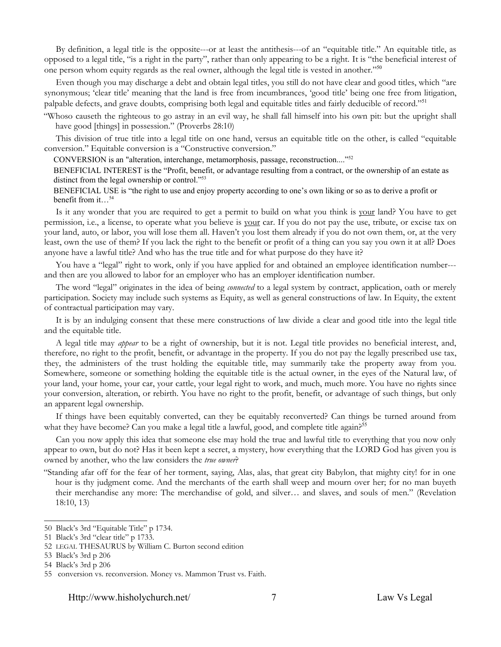By definition, a legal title is the opposite---or at least the antithesis---of an "equitable title." An equitable title, as opposed to a legal title, "is a right in the party", rather than only appearing to be a right. It is "the beneficial interest of one person whom equity regards as the real owner, although the legal title is vested in another."<sup>[50](#page-7-0)</sup>

Even though you may discharge a debt and obtain legal titles, you still do not have clear and good titles, which "are synonymous; 'clear title' meaning that the land is free from incumbrances, 'good title' being one free from litigation, palpable defects, and grave doubts, comprising both legal and equitable titles and fairly deducible of record."[51](#page-7-1)

"Whoso causeth the righteous to go astray in an evil way, he shall fall himself into his own pit: but the upright shall have good [things] in possession." (Proverbs 28:10)

This division of true title into a legal title on one hand, versus an equitable title on the other, is called "equitable conversion." Equitable conversion is a "Constructive conversion."

CONVERSION is an "alteration, interchange, metamorphosis, passage, reconstruction...."[52](#page-7-2)

BENEFICIAL INTEREST is the "Profit, benefit, or advantage resulting from a contract, or the ownership of an estate as distinct from the legal ownership or control."<sup>[53](#page-7-3)</sup>

BENEFICIAL USE is "the right to use and enjoy property according to one's own liking or so as to derive a profit or benefit from it... $^{54}$  $^{54}$  $^{54}$ 

Is it any wonder that you are required to get a permit to build on what you think is your land? You have to get permission, i.e., a license, to operate what you believe is your car. If you do not pay the use, tribute, or excise tax on your land, auto, or labor, you will lose them all. Haven't you lost them already if you do not own them, or, at the very least, own the use of them? If you lack the right to the benefit or profit of a thing can you say you own it at all? Does anyone have a lawful title? And who has the true title and for what purpose do they have it?

You have a "legal" right to work, only if you have applied for and obtained an employee identification number-- and then are you allowed to labor for an employer who has an employer identification number.

The word "legal" originates in the idea of being *connected* to a legal system by contract, application, oath or merely participation. Society may include such systems as Equity, as well as general constructions of law. In Equity, the extent of contractual participation may vary.

It is by an indulging consent that these mere constructions of law divide a clear and good title into the legal title and the equitable title.

A legal title may *appear* to be a right of ownership, but it is not. Legal title provides no beneficial interest, and, therefore, no right to the profit, benefit, or advantage in the property. If you do not pay the legally prescribed use tax, they, the administers of the trust holding the equitable title, may summarily take the property away from you. Somewhere, someone or something holding the equitable title is the actual owner, in the eyes of the Natural law, of your land, your home, your car, your cattle, your legal right to work, and much, much more. You have no rights since your conversion, alteration, or rebirth. You have no right to the profit, benefit, or advantage of such things, but only an apparent legal ownership.

If things have been equitably converted, can they be equitably reconverted? Can things be turned around from what they have become? Can you make a legal title a lawful, good, and complete title again?<sup>[55](#page-7-5)</sup>

Can you now apply this idea that someone else may hold the true and lawful title to everything that you now only appear to own, but do not? Has it been kept a secret, a mystery, how everything that the LORD God has given you is owned by another, who the law considers the *true owner*?

"Standing afar off for the fear of her torment, saying, Alas, alas, that great city Babylon, that mighty city! for in one hour is thy judgment come. And the merchants of the earth shall weep and mourn over her; for no man buyeth their merchandise any more: The merchandise of gold, and silver… and slaves, and souls of men." (Revelation 18:10, 13)

Http://www.hisholychurch.net/ 7 Law Vs Legal

<span id="page-7-0"></span><sup>50</sup> Black's 3rd "Equitable Title" p 1734.

<span id="page-7-1"></span><sup>51</sup> Black's 3rd "clear title" p 1733.

<span id="page-7-2"></span><sup>52</sup> LEGAL THESAURUS by William C. Burton second edition

<span id="page-7-3"></span><sup>53</sup> Black's 3rd p 206

<span id="page-7-4"></span><sup>54</sup> Black's 3rd p 206

<span id="page-7-5"></span><sup>55</sup> conversion vs. reconversion. Money vs. Mammon Trust vs. Faith.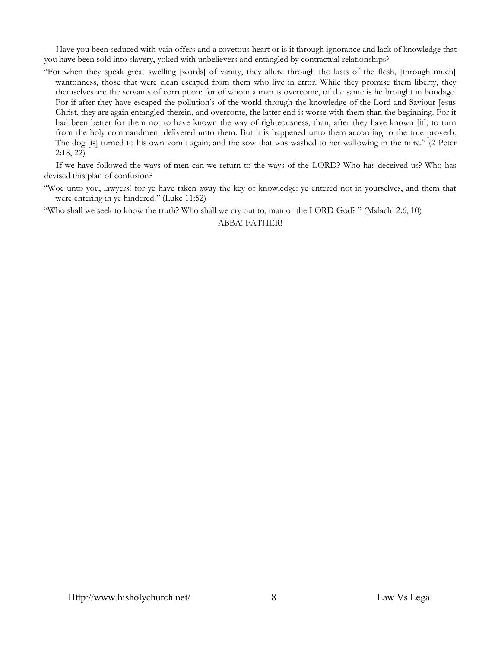Have you been seduced with vain offers and a covetous heart or is it through ignorance and lack of knowledge that you have been sold into slavery, yoked with unbelievers and entangled by contractual relationships?

"For when they speak great swelling [words] of vanity, they allure through the lusts of the flesh, [through much] wantonness, those that were clean escaped from them who live in error. While they promise them liberty, they themselves are the servants of corruption: for of whom a man is overcome, of the same is he brought in bondage. For if after they have escaped the pollution's of the world through the knowledge of the Lord and Saviour Jesus Christ, they are again entangled therein, and overcome, the latter end is worse with them than the beginning. For it had been better for them not to have known the way of righteousness, than, after they have known [it], to turn from the holy commandment delivered unto them. But it is happened unto them according to the true proverb, The dog [is] turned to his own vomit again; and the sow that was washed to her wallowing in the mire." (2 Peter 2:18, 22)

If we have followed the ways of men can we return to the ways of the LORD? Who has deceived us? Who has devised this plan of confusion?

"Woe unto you, lawyers! for ye have taken away the key of knowledge: ye entered not in yourselves, and them that were entering in ye hindered." (Luke 11:52)

"Who shall we seek to know the truth? Who shall we cry out to, man or the LORD God? " (Malachi 2:6, 10)

ABBA! FATHER!